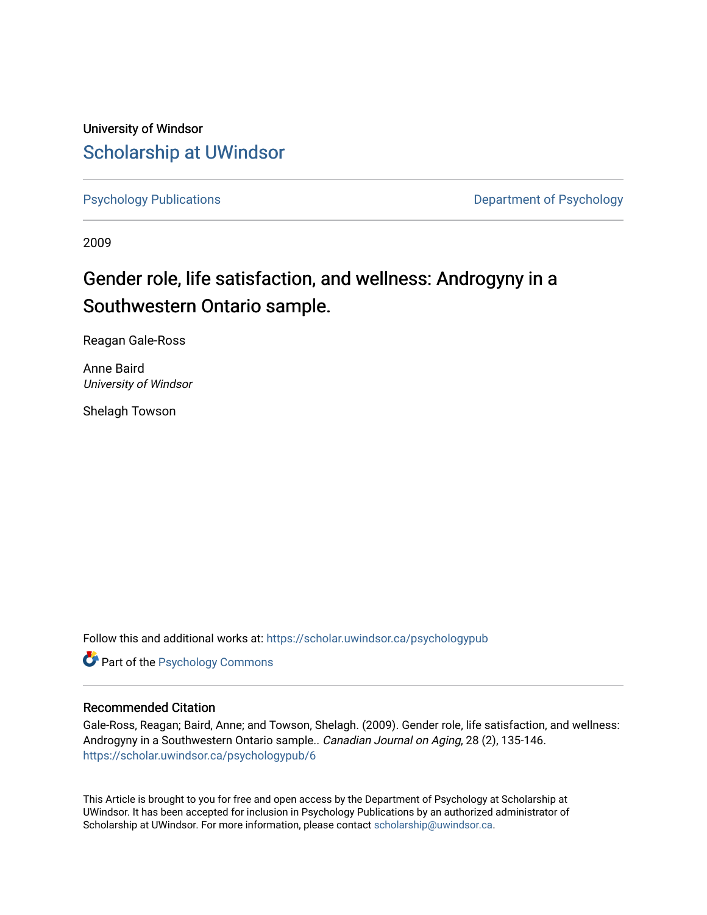University of Windsor [Scholarship at UWindsor](https://scholar.uwindsor.ca/) 

[Psychology Publications](https://scholar.uwindsor.ca/psychologypub) **Department of Psychology** 

2009

## Gender role, life satisfaction, and wellness: Androgyny in a Southwestern Ontario sample.

Reagan Gale-Ross

Anne Baird University of Windsor

Shelagh Towson

Follow this and additional works at: [https://scholar.uwindsor.ca/psychologypub](https://scholar.uwindsor.ca/psychologypub?utm_source=scholar.uwindsor.ca%2Fpsychologypub%2F6&utm_medium=PDF&utm_campaign=PDFCoverPages) 

**Part of the Psychology Commons** 

#### Recommended Citation

Gale-Ross, Reagan; Baird, Anne; and Towson, Shelagh. (2009). Gender role, life satisfaction, and wellness: Androgyny in a Southwestern Ontario sample.. Canadian Journal on Aging, 28 (2), 135-146. [https://scholar.uwindsor.ca/psychologypub/6](https://scholar.uwindsor.ca/psychologypub/6?utm_source=scholar.uwindsor.ca%2Fpsychologypub%2F6&utm_medium=PDF&utm_campaign=PDFCoverPages) 

This Article is brought to you for free and open access by the Department of Psychology at Scholarship at UWindsor. It has been accepted for inclusion in Psychology Publications by an authorized administrator of Scholarship at UWindsor. For more information, please contact [scholarship@uwindsor.ca.](mailto:scholarship@uwindsor.ca)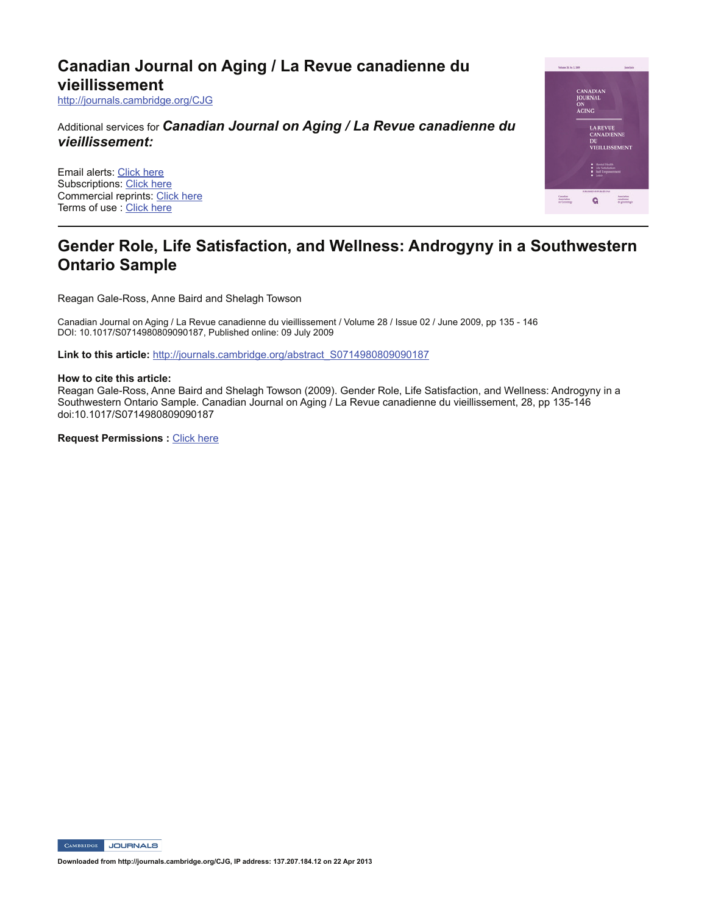## **Canadian Journal on Aging / La Revue canadienne du vieillissement**

http://journals.cambridge.org/CJG

Additional services for *Canadian Journal on Aging / La Revue canadienne du vieillissement:*

Email alerts: Click here Subscriptions: Click here Commercial reprints: Click here Terms of use : Click here



## **Gender Role, Life Satisfaction, and Wellness: Androgyny in a Southwestern Ontario Sample**

Reagan Gale-Ross, Anne Baird and Shelagh Towson

Canadian Journal on Aging / La Revue canadienne du vieillissement / Volume 28 / Issue 02 / June 2009, pp 135 - 146 DOI: 10.1017/S0714980809090187, Published online: 09 July 2009

Link to this article: http://journals.cambridge.org/abstract\_S0714980809090187

#### **How to cite this article:**

Reagan Gale-Ross, Anne Baird and Shelagh Towson (2009). Gender Role, Life Satisfaction, and Wellness: Androgyny in a Southwestern Ontario Sample. Canadian Journal on Aging / La Revue canadienne du vieillissement, 28, pp 135-146 doi:10.1017/S0714980809090187

**Request Permissions : Click here** 

CAMBRIDGE JOURNALS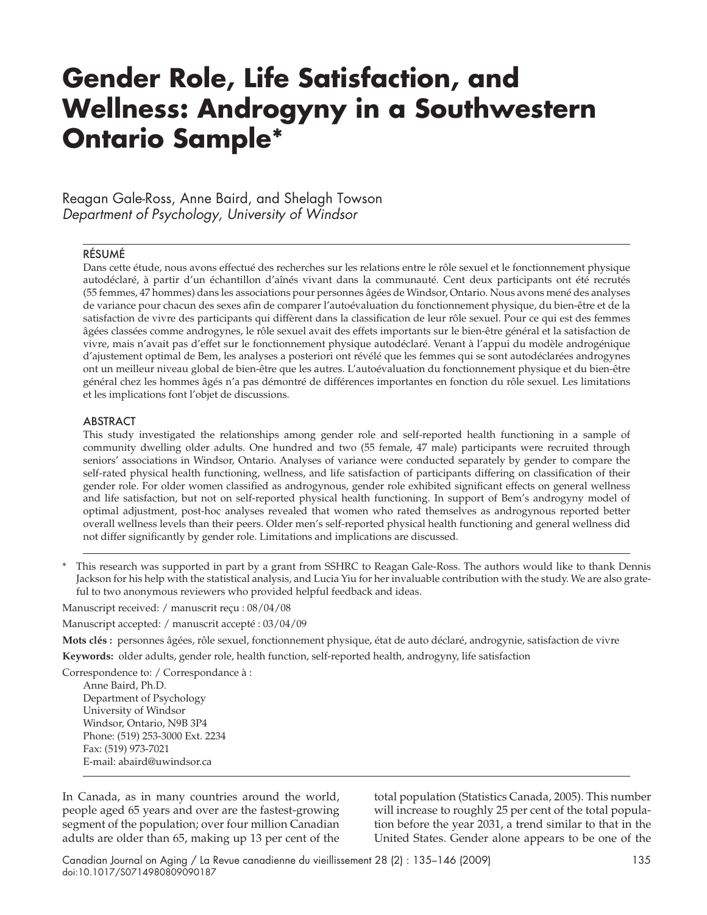# **Gender Role, Life Satisfaction, and Wellness: Androgyny in a Southwestern Ontario Sample \***

Reagan Gale-Ross, Anne Baird, and Shelagh Towson Department of Psychology, University of Windsor

#### $\overline{a}$ RÉSUMÉ

 Dans cette étude, nous avons effectué des recherches sur les relations entre le rôle sexuel et le fonctionnement physique autodéclaré, à partir d'un échantillon d'aînés vivant dans la communauté. Cent deux participants ont été recrutés (55 femmes, 47 hommes) dans les associations pour personnes âgées de Windsor, Ontario. Nous avons mené des analyses de variance pour chacun des sexes afin de comparer l'autoévaluation du fonctionnement physique, du bien-être et de la satisfaction de vivre des participants qui diffèrent dans la classification de leur rôle sexuel. Pour ce qui est des femmes âgées classées comme androgynes, le rôle sexuel avait des effets importants sur le bien-être général et la satisfaction de vivre, mais n'avait pas d'effet sur le fonctionnement physique autodéclaré. Venant à l'appui du modèle androgénique d'ajustement optimal de Bem, les analyses a posteriori ont révélé que les femmes qui se sont autodéclarées androgynes ont un meilleur niveau global de bien-être que les autres. L'autoévaluation du fonctionnement physique et du bien-être général chez les hommes âgés n'a pas démontré de différences importantes en fonction du rôle sexuel. Les limitations et les implications font l'objet de discussions.

#### ABSTRACT

 $\overline{a}$ 

 This study investigated the relationships among gender role and self-reported health functioning in a sample of community dwelling older adults. One hundred and two (55 female, 47 male) participants were recruited through seniors' associations in Windsor, Ontario. Analyses of variance were conducted separately by gender to compare the self-rated physical health functioning, wellness, and life satisfaction of participants differing on classification of their gender role. For older women classified as androgynous, gender role exhibited significant effects on general wellness and life satisfaction, but not on self-reported physical health functioning. In support of Bem's androgyny model of optimal adjustment, post-hoc analyses revealed that women who rated themselves as androgynous reported better overall wellness levels than their peers. Older men's self-reported physical health functioning and general wellness did not differ significantly by gender role. Limitations and implications are discussed.

This research was supported in part by a grant from SSHRC to Reagan Gale-Ross. The authors would like to thank Dennis Jackson for his help with the statistical analysis, and Lucia Yiu for her invaluable contribution with the study. We are also grateful to two anonymous reviewers who provided helpful feedback and ideas.

Manuscript received: / manuscrit reçu : 08/04/08

Manuscript accepted: / manuscrit accepté : 03/04/09

**Mots clés :** personnes âgées , rôle sexuel , fonctionnement physique , état de auto déclaré , androgynie , satisfaction de vivre

Keywords: older adults, gender role, health function, self-reported health, androgyny, life satisfaction

Correspondence to: / Correspondance à :

Anne Baird, Ph.D. Department of Psychology University of Windsor Windsor, Ontario, N9B 3P4 Phone: (519) 253-3000 Ext. 2234 Fax: (519) 973-7021 E-mail: abaird@uwindsor.ca

 In Canada, as in many countries around the world, people aged 65 years and over are the fastest-growing segment of the population; over four million Canadian adults are older than 65, making up 13 per cent of the total population (Statistics Canada, 2005). This number will increase to roughly 25 per cent of the total population before the year 2031, a trend similar to that in the United States. Gender alone appears to be one of the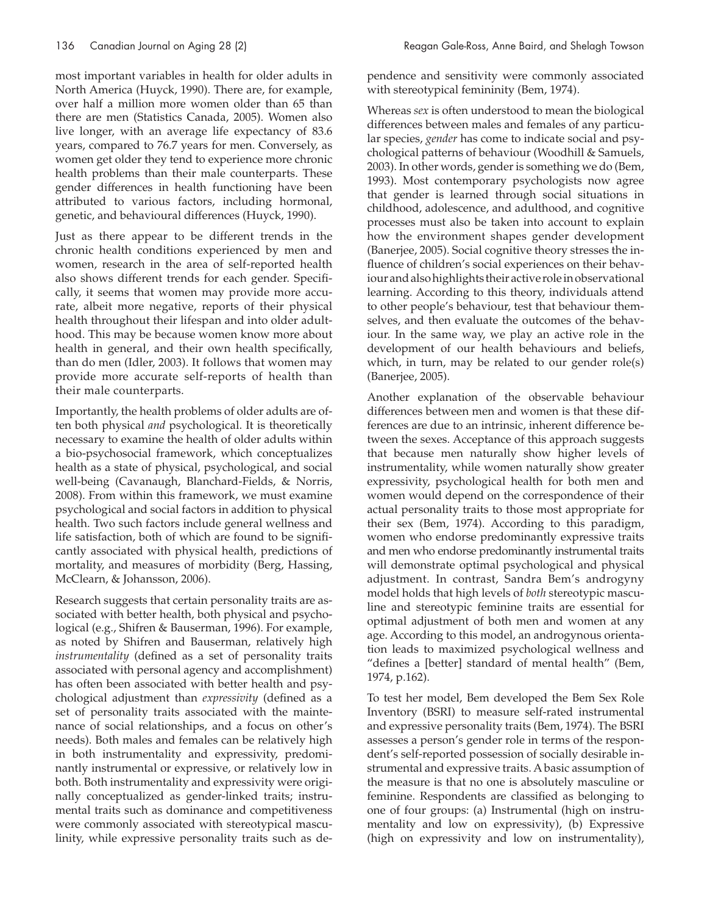most important variables in health for older adults in North America (Huyck, 1990). There are, for example, over half a million more women older than 65 than there are men (Statistics Canada, 2005). Women also live longer, with an average life expectancy of 83.6 years, compared to 76.7 years for men. Conversely, as women get older they tend to experience more chronic health problems than their male counterparts. These gender differences in health functioning have been attributed to various factors, including hormonal, genetic, and behavioural differences (Huyck, 1990).

 Just as there appear to be different trends in the chronic health conditions experienced by men and women, research in the area of self-reported health also shows different trends for each gender. Specifically, it seems that women may provide more accurate, albeit more negative, reports of their physical health throughout their lifespan and into older adulthood. This may be because women know more about health in general, and their own health specifically, than do men (Idler, 2003). It follows that women may provide more accurate self-reports of health than their male counterparts.

 Importantly, the health problems of older adults are often both physical *and* psychological. It is theoretically necessary to examine the health of older adults within a bio-psychosocial framework, which conceptualizes health as a state of physical, psychological, and social well-being (Cavanaugh, Blanchard-Fields, & Norris, 2008). From within this framework, we must examine psychological and social factors in addition to physical health. Two such factors include general wellness and life satisfaction, both of which are found to be significantly associated with physical health, predictions of mortality, and measures of morbidity (Berg, Hassing, McClearn, & Johansson, 2006).

 Research suggests that certain personality traits are associated with better health, both physical and psychological (e.g., Shifren & Bauserman, 1996). For example, as noted by Shifren and Bauserman, relatively high *instrumentality* (defined as a set of personality traits associated with personal agency and accomplishment) has often been associated with better health and psychological adjustment than *expressivity* (defined as a set of personality traits associated with the maintenance of social relationships, and a focus on other's needs). Both males and females can be relatively high in both instrumentality and expressivity, predominantly instrumental or expressive, or relatively low in both. Both instrumentality and expressivity were originally conceptualized as gender-linked traits; instrumental traits such as dominance and competitiveness were commonly associated with stereotypical masculinity, while expressive personality traits such as dependence and sensitivity were commonly associated with stereotypical femininity (Bem, 1974).

 Whereas *sex* is often understood to mean the biological differences between males and females of any particular species, *gender* has come to indicate social and psychological patterns of behaviour (Woodhill & Samuels, 2003 ). In other words, gender is something we do (Bem, 1993). Most contemporary psychologists now agree that gender is learned through social situations in childhood, adolescence, and adulthood, and cognitive processes must also be taken into account to explain how the environment shapes gender development (Banerjee, 2005). Social cognitive theory stresses the influence of children's social experiences on their behaviour and also highlights their active role in observational learning. According to this theory, individuals attend to other people's behaviour, test that behaviour themselves, and then evaluate the outcomes of the behaviour. In the same way, we play an active role in the development of our health behaviours and beliefs, which, in turn, may be related to our gender role(s) (Banerjee, 2005).

 Another explanation of the observable behaviour differences between men and women is that these differences are due to an intrinsic, inherent difference between the sexes. Acceptance of this approach suggests that because men naturally show higher levels of instrumentality, while women naturally show greater expressivity, psychological health for both men and women would depend on the correspondence of their actual personality traits to those most appropriate for their sex (Bem, 1974). According to this paradigm, women who endorse predominantly expressive traits and men who endorse predominantly instrumental traits will demonstrate optimal psychological and physical adjustment. In contrast, Sandra Bem's androgyny model holds that high levels of *both* stereotypic masculine and stereotypic feminine traits are essential for optimal adjustment of both men and women at any age. According to this model, an androgynous orientation leads to maximized psychological wellness and "defines a [better] standard of mental health" (Bem, 1974, p.162).

 To test her model, Bem developed the Bem Sex Role Inventory (BSRI) to measure self-rated instrumental and expressive personality traits (Bem, 1974). The BSRI assesses a person's gender role in terms of the respondent's self-reported possession of socially desirable instrumental and expressive traits. A basic assumption of the measure is that no one is absolutely masculine or feminine. Respondents are classified as belonging to one of four groups: (a) Instrumental (high on instrumentality and low on expressivity), (b) Expressive (high on expressivity and low on instrumentality),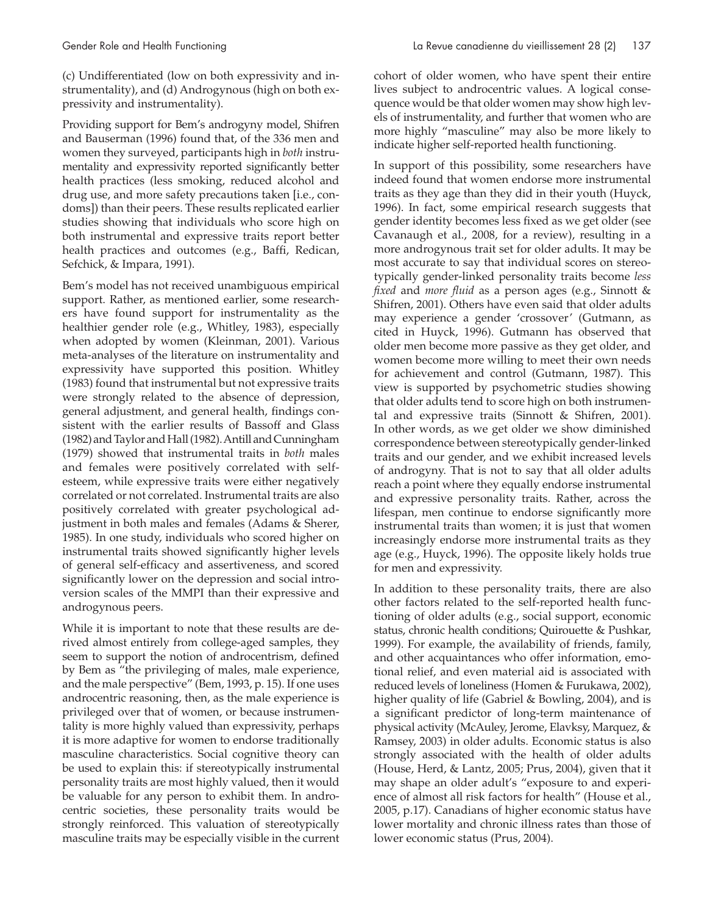(c) Undifferentiated (low on both expressivity and instrumentality), and (d) Androgynous (high on both expressivity and instrumentality).

 Providing support for Bem's androgyny model, Shifren and Bauserman (1996) found that, of the 336 men and women they surveyed, participants high in *both* instrumentality and expressivity reported significantly better health practices (less smoking, reduced alcohol and drug use, and more safety precautions taken [i.e., condoms]) than their peers. These results replicated earlier studies showing that individuals who score high on both instrumental and expressive traits report better health practices and outcomes (e.g., Baffi, Redican, Sefchick, & Impara, 1991).

 Bem's model has not received unambiguous empirical support. Rather, as mentioned earlier, some researchers have found support for instrumentality as the healthier gender role (e.g., Whitley, 1983), especially when adopted by women (Kleinman, 2001). Various meta-analyses of the literature on instrumentality and expressivity have supported this position. Whitley ( 1983) found that instrumental but not expressive traits were strongly related to the absence of depression, general adjustment, and general health, findings consistent with the earlier results of Bassoff and Glass ( 1982) and Taylor and Hall ( 1982) . Antill and Cunningham ( 1979) showed that instrumental traits in *both* males and females were positively correlated with selfesteem, while expressive traits were either negatively correlated or not correlated. Instrumental traits are also positively correlated with greater psychological adjustment in both males and females (Adams & Sherer, 1985). In one study, individuals who scored higher on instrumental traits showed significantly higher levels of general self-efficacy and assertiveness, and scored significantly lower on the depression and social introversion scales of the MMPI than their expressive and androgynous peers.

 While it is important to note that these results are derived almost entirely from college-aged samples, they seem to support the notion of androcentrism, defined by Bem as "the privileging of males, male experience, and the male perspective" (Bem, 1993, p. 15). If one uses androcentric reasoning, then, as the male experience is privileged over that of women, or because instrumentality is more highly valued than expressivity, perhaps it is more adaptive for women to endorse traditionally masculine characteristics. Social cognitive theory can be used to explain this: if stereotypically instrumental personality traits are most highly valued, then it would be valuable for any person to exhibit them. In androcentric societies, these personality traits would be strongly reinforced. This valuation of stereotypically masculine traits may be especially visible in the current

cohort of older women, who have spent their entire lives subject to androcentric values. A logical consequence would be that older women may show high levels of instrumentality, and further that women who are more highly "masculine" may also be more likely to indicate higher self-reported health functioning.

 In support of this possibility, some researchers have indeed found that women endorse more instrumental traits as they age than they did in their youth (Huyck, 1996). In fact, some empirical research suggests that gender identity becomes less fixed as we get older (see Cavanaugh et al., 2008, for a review), resulting in a more androgynous trait set for older adults. It may be most accurate to say that individual scores on stereotypically gender-linked personality traits become *less fixed* and *more fluid* as a person ages (e.g., Sinnott & Shifren, 2001). Others have even said that older adults may experience a gender 'crossover' (Gutmann, as cited in Huyck, 1996). Gutmann has observed that older men become more passive as they get older, and women become more willing to meet their own needs for achievement and control (Gutmann, 1987). This view is supported by psychometric studies showing that older adults tend to score high on both instrumental and expressive traits (Sinnott  $\&$  Shifren, 2001). In other words, as we get older we show diminished correspondence between stereotypically gender-linked traits and our gender, and we exhibit increased levels of androgyny. That is not to say that all older adults reach a point where they equally endorse instrumental and expressive personality traits. Rather, across the lifespan, men continue to endorse significantly more instrumental traits than women; it is just that women increasingly endorse more instrumental traits as they age (e.g., Huyck, 1996). The opposite likely holds true for men and expressivity.

 In addition to these personality traits, there are also other factors related to the self-reported health functioning of older adults (e.g., social support, economic status, chronic health conditions; Quirouette & Pushkar, 1999). For example, the availability of friends, family, and other acquaintances who offer information, emotional relief, and even material aid is associated with reduced levels of loneliness (Homen & Furukawa, 2002), higher quality of life (Gabriel & Bowling, 2004), and is a significant predictor of long-term maintenance of physical activity (McAuley, Jerome, Elavksy, Marquez, & Ramsey, 2003) in older adults. Economic status is also strongly associated with the health of older adults (House, Herd, & Lantz, 2005; Prus, 2004), given that it may shape an older adult's "exposure to and experience of almost all risk factors for health" (House et al., 2005, p.17). Canadians of higher economic status have lower mortality and chronic illness rates than those of lower economic status (Prus, 2004).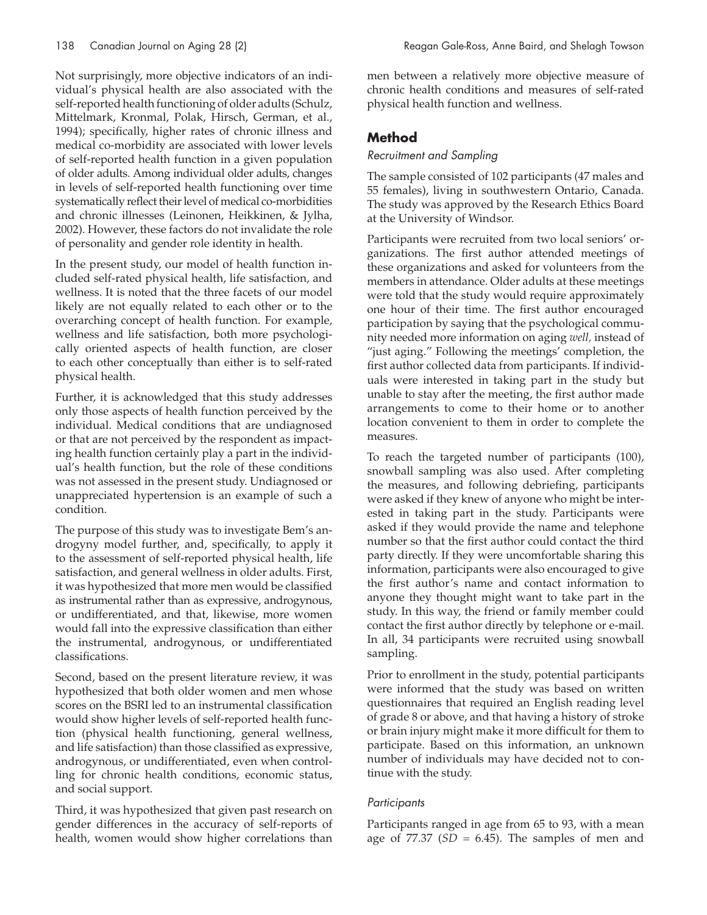Not surprisingly, more objective indicators of an individual's physical health are also associated with the self-reported health functioning of older adults (Schulz, Mittelmark, Kronmal, Polak, Hirsch, German, et al., 1994); specifically, higher rates of chronic illness and medical co-morbidity are associated with lower levels of self-reported health function in a given population of older adults. Among individual older adults, changes in levels of self-reported health functioning over time systematically reflect their level of medical co-morbidities and chronic illnesses (Leinonen, Heikkinen, & Jylha, 2002). However, these factors do not invalidate the role of personality and gender role identity in health.

 In the present study, our model of health function included self-rated physical health, life satisfaction, and wellness. It is noted that the three facets of our model likely are not equally related to each other or to the overarching concept of health function. For example, wellness and life satisfaction, both more psychologically oriented aspects of health function, are closer to each other conceptually than either is to self-rated physical health.

 Further, it is acknowledged that this study addresses only those aspects of health function perceived by the individual. Medical conditions that are undiagnosed or that are not perceived by the respondent as impacting health function certainly play a part in the individual's health function, but the role of these conditions was not assessed in the present study. Undiagnosed or unappreciated hypertension is an example of such a condition.

 The purpose of this study was to investigate Bem's androgyny model further, and, specifically, to apply it to the assessment of self-reported physical health, life satisfaction, and general wellness in older adults. First, it was hypothesized that more men would be classified as instrumental rather than as expressive, androgynous, or undifferentiated, and that, likewise, more women would fall into the expressive classification than either the instrumental, androgynous, or undifferentiated classifications.

 Second, based on the present literature review, it was hypothesized that both older women and men whose scores on the BSRI led to an instrumental classification would show higher levels of self-reported health function (physical health functioning, general wellness, and life satisfaction) than those classified as expressive, androgynous, or undifferentiated, even when controlling for chronic health conditions, economic status, and social support.

 Third, it was hypothesized that given past research on gender differences in the accuracy of self-reports of health, women would show higher correlations than

men between a relatively more objective measure of chronic health conditions and measures of self-rated physical health function and wellness.

### **Method**

#### Recruitment and Sampling

 The sample consisted of 102 participants (47 males and 55 females), living in southwestern Ontario, Canada. The study was approved by the Research Ethics Board at the University of Windsor.

 Participants were recruited from two local seniors' organizations. The first author attended meetings of these organizations and asked for volunteers from the members in attendance. Older adults at these meetings were told that the study would require approximately one hour of their time. The first author encouraged participation by saying that the psychological community needed more information on aging *well,* instead of "just aging." Following the meetings' completion, the first author collected data from participants. If individuals were interested in taking part in the study but unable to stay after the meeting, the first author made arrangements to come to their home or to another location convenient to them in order to complete the measures.

 To reach the targeted number of participants (100), snowball sampling was also used. After completing the measures, and following debriefing, participants were asked if they knew of anyone who might be interested in taking part in the study. Participants were asked if they would provide the name and telephone number so that the first author could contact the third party directly. If they were uncomfortable sharing this information, participants were also encouraged to give the first author's name and contact information to anyone they thought might want to take part in the study. In this way, the friend or family member could contact the first author directly by telephone or e-mail. In all, 34 participants were recruited using snowball sampling.

 Prior to enrollment in the study, potential participants were informed that the study was based on written questionnaires that required an English reading level of grade 8 or above, and that having a history of stroke or brain injury might make it more difficult for them to participate. Based on this information, an unknown number of individuals may have decided not to continue with the study.

#### Participants

 Participants ranged in age from 65 to 93, with a mean age of  $77.37$  ( $SD = 6.45$ ). The samples of men and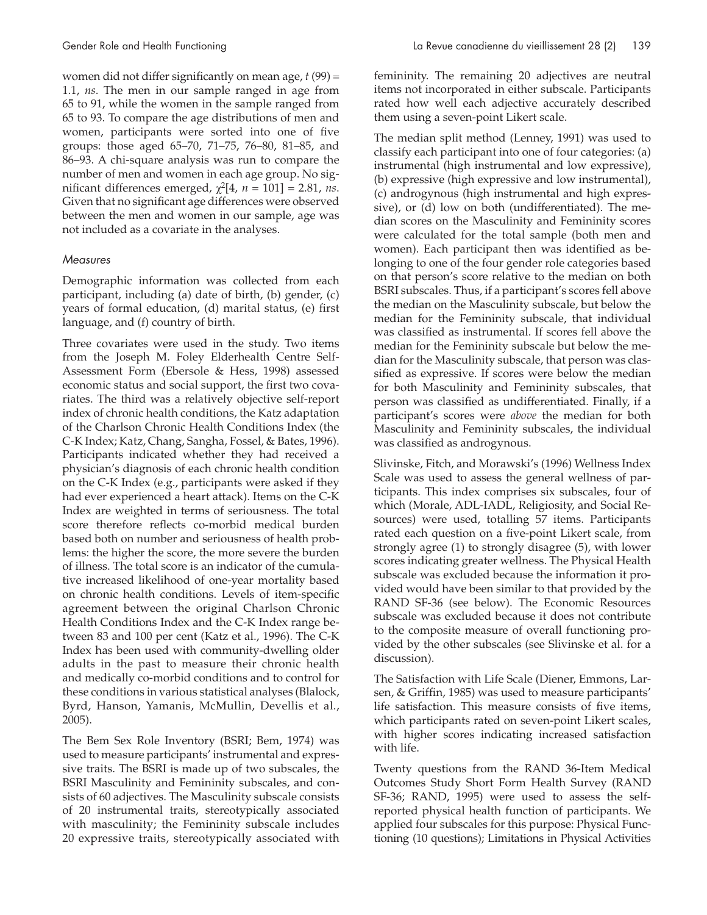women did not differ significantly on mean age,  $t(99) =$ 1.1, *ns* . The men in our sample ranged in age from 65 to 91, while the women in the sample ranged from 65 to 93. To compare the age distributions of men and women, participants were sorted into one of five groups: those aged 65–70, 71–75, 76–80, 81–85, and 86–93. A chi-square analysis was run to compare the number of men and women in each age group. No significant differences emerged,  $\chi^2[4, n = 101] = 2.81$ , *ns*. Given that no significant age differences were observed between the men and women in our sample, age was not included as a covariate in the analyses.

#### **Measures**

 Demographic information was collected from each participant, including (a) date of birth, (b) gender, (c) years of formal education, (d) marital status, (e) first language, and (f) country of birth.

 Three covariates were used in the study. Two items from the Joseph M. Foley Elderhealth Centre Self-Assessment Form (Ebersole & Hess, 1998) assessed economic status and social support, the first two covariates. The third was a relatively objective self-report index of chronic health conditions, the Katz adaptation of the Charlson Chronic Health Conditions Index (the C-K Index; Katz, Chang, Sangha, Fossel, & Bates, 1996 ). Participants indicated whether they had received a physician's diagnosis of each chronic health condition on the C-K Index (e.g., participants were asked if they had ever experienced a heart attack). Items on the C-K Index are weighted in terms of seriousness. The total score therefore reflects co-morbid medical burden based both on number and seriousness of health problems: the higher the score, the more severe the burden of illness. The total score is an indicator of the cumulative increased likelihood of one-year mortality based on chronic health conditions. Levels of item-specific agreement between the original Charlson Chronic Health Conditions Index and the C-K Index range between 83 and 100 per cent (Katz et al., 1996). The C-K Index has been used with community-dwelling older adults in the past to measure their chronic health and medically co-morbid conditions and to control for these conditions in various statistical analyses (Blalock, Byrd, Hanson, Yamanis, McMullin, Devellis et al.,  $2005$ ).

The Bem Sex Role Inventory (BSRI; Bem, 1974) was used to measure participants' instrumental and expressive traits. The BSRI is made up of two subscales, the BSRI Masculinity and Femininity subscales, and consists of 60 adjectives. The Masculinity subscale consists of 20 instrumental traits, stereotypically associated with masculinity; the Femininity subscale includes 20 expressive traits, stereotypically associated with

femininity. The remaining 20 adjectives are neutral items not incorporated in either subscale. Participants rated how well each adjective accurately described them using a seven-point Likert scale.

The median split method (Lenney, 1991) was used to classify each participant into one of four categories: (a) instrumental (high instrumental and low expressive), (b) expressive (high expressive and low instrumental), (c) androgynous (high instrumental and high expressive), or (d) low on both (undifferentiated). The median scores on the Masculinity and Femininity scores were calculated for the total sample (both men and women). Each participant then was identified as belonging to one of the four gender role categories based on that person's score relative to the median on both BSRI subscales. Thus, if a participant's scores fell above the median on the Masculinity subscale, but below the median for the Femininity subscale, that individual was classified as instrumental. If scores fell above the median for the Femininity subscale but below the median for the Masculinity subscale, that person was classified as expressive. If scores were below the median for both Masculinity and Femininity subscales, that person was classified as undifferentiated. Finally, if a participant's scores were *above* the median for both Masculinity and Femininity subscales, the individual was classified as androgynous.

Slivinske, Fitch, and Morawski's (1996) Wellness Index Scale was used to assess the general wellness of participants. This index comprises six subscales, four of which (Morale, ADL-IADL, Religiosity, and Social Resources) were used, totalling 57 items. Participants rated each question on a five-point Likert scale, from strongly agree (1) to strongly disagree (5), with lower scores indicating greater wellness. The Physical Health subscale was excluded because the information it provided would have been similar to that provided by the RAND SF-36 (see below). The Economic Resources subscale was excluded because it does not contribute to the composite measure of overall functioning provided by the other subscales (see Slivinske et al. for a discussion).

 The Satisfaction with Life Scale (Diener, Emmons, Larsen, & Griffin, 1985) was used to measure participants' life satisfaction. This measure consists of five items, which participants rated on seven-point Likert scales, with higher scores indicating increased satisfaction with life.

 Twenty questions from the RAND 36-Item Medical Outcomes Study Short Form Health Survey (RAND SF-36; RAND, 1995) were used to assess the selfreported physical health function of participants. We applied four subscales for this purpose: Physical Functioning (10 questions); Limitations in Physical Activities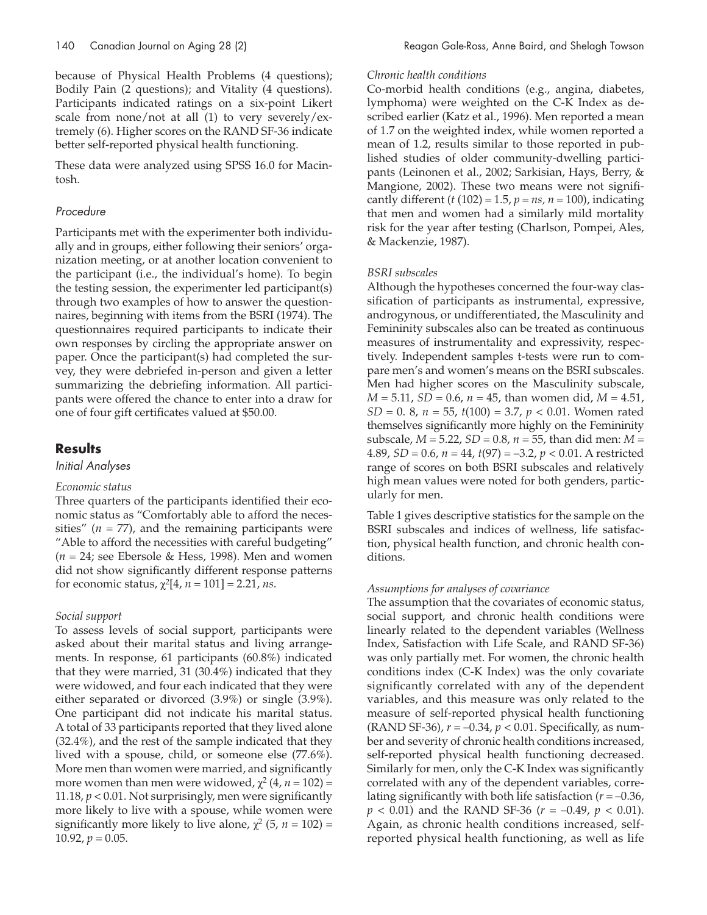because of Physical Health Problems (4 questions); Bodily Pain (2 questions); and Vitality (4 questions). Participants indicated ratings on a six-point Likert scale from none/not at all  $(1)$  to very severely/extremely (6). Higher scores on the RAND SF-36 indicate better self-reported physical health functioning.

 These data were analyzed using SPSS 16.0 for Macintosh.

#### Procedure

 Participants met with the experimenter both individually and in groups, either following their seniors' organization meeting, or at another location convenient to the participant (i.e., the individual's home). To begin the testing session, the experimenter led participant(s) through two examples of how to answer the questionnaires, beginning with items from the BSRI (1974). The questionnaires required participants to indicate their own responses by circling the appropriate answer on paper. Once the participant(s) had completed the survey, they were debriefed in-person and given a letter summarizing the debriefing information. All participants were offered the chance to enter into a draw for one of four gift certificates valued at \$50.00.

#### **Results**

Initial Analyses

#### *Economic status*

Three quarters of the participants identified their economic status as "Comfortably able to afford the necessities" ( $n = 77$ ), and the remaining participants were "Able to afford the necessities with careful budgeting"  $(n = 24)$ ; see Ebersole & Hess, 1998). Men and women did not show significantly different response patterns for economic status,  $\chi^2[4, n = 101] = 2.21$ , *ns*.

#### *Social support*

 To assess levels of social support, participants were asked about their marital status and living arrangements. In response, 61 participants (60.8%) indicated that they were married, 31  $(30.4%)$  indicated that they were widowed, and four each indicated that they were either separated or divorced  $(3.9\%)$  or single  $(3.9\%).$ One participant did not indicate his marital status. A total of 33 participants reported that they lived alone  $(32.4\%)$ , and the rest of the sample indicated that they lived with a spouse, child, or someone else (77.6%). More men than women were married, and significantly more women than men were widowed,  $\chi^2$  (4, *n* = 102) = 11.18,  $p < 0.01$ . Not surprisingly, men were significantly more likely to live with a spouse, while women were significantly more likely to live alone,  $\chi^2$  (5, *n* = 102) = 10.92,  $p = 0.05$ .

#### *Chronic health conditions*

 Co-morbid health conditions (e.g., angina, diabetes, lymphoma) were weighted on the C-K Index as described earlier (Katz et al., 1996). Men reported a mean of 1.7 on the weighted index, while women reported a mean of 1.2, results similar to those reported in published studies of older community-dwelling participants (Leinonen et al., 2002; Sarkisian, Hays, Berry, & Mangione, 2002). These two means were not significantly different ( $t(102) = 1.5$ ,  $p = ns$ ,  $n = 100$ ), indicating that men and women had a similarly mild mortality risk for the year after testing (Charlson, Pompei, Ales, & Mackenzie, 1987).

#### *BSRI subscales*

 Although the hypotheses concerned the four-way classification of participants as instrumental, expressive, androgynous, or undifferentiated, the Masculinity and Femininity subscales also can be treated as continuous measures of instrumentality and expressivity, respectively. Independent samples t-tests were run to compare men's and women's means on the BSRI subscales. Men had higher scores on the Masculinity subscale, *M* = 5.11, *SD* = 0.6, *n* = 45, than women did, *M* = 4.51, *SD* = 0. 8, *n* = 55, *t* (100) = 3.7, *p* < 0.01. Women rated themselves significantly more highly on the Femininity subscale, *M* = 5.22, *SD* = 0.8, *n* = 55, than did men: *M* = 4.89, *SD* = 0.6, *n* = 44, *t* (97) = –3.2, *p* < 0.01. A restricted range of scores on both BSRI subscales and relatively high mean values were noted for both genders, particularly for men.

 Table 1 gives descriptive statistics for the sample on the BSRI subscales and indices of wellness, life satisfaction, physical health function, and chronic health conditions.

#### *Assumptions for analyses of covariance*

 The assumption that the covariates of economic status, social support, and chronic health conditions were linearly related to the dependent variables (Wellness Index, Satisfaction with Life Scale, and RAND SF-36) was only partially met. For women, the chronic health conditions index (C-K Index) was the only covariate significantly correlated with any of the dependent variables, and this measure was only related to the measure of self-reported physical health functioning (RAND SF-36),  $r = -0.34$ ,  $p < 0.01$ . Specifically, as number and severity of chronic health conditions increased, self-reported physical health functioning decreased. Similarly for men, only the C-K Index was significantly correlated with any of the dependent variables, correlating significantly with both life satisfaction  $(r = -0.36)$ ,  $p < 0.01$ ) and the RAND SF-36 ( $r = -0.49$ ,  $p < 0.01$ ). Again, as chronic health conditions increased, selfreported physical health functioning, as well as life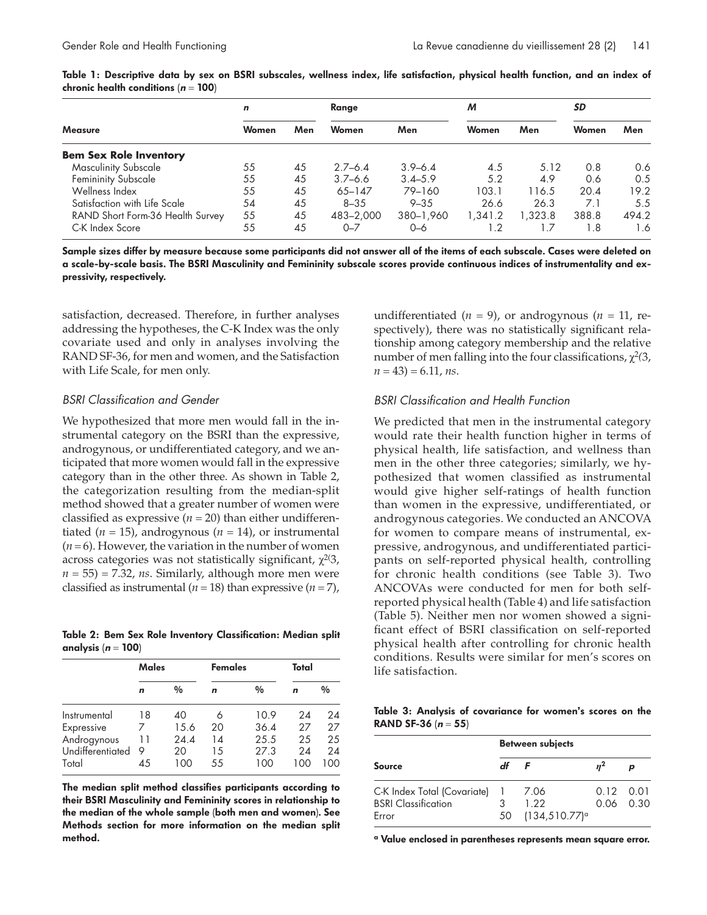|  |                                         |  |  |  |  | Table 1: Descriptive data by sex on BSRI subscales, wellness index, life satisfaction, physical health function, and an index of |  |  |  |  |
|--|-----------------------------------------|--|--|--|--|----------------------------------------------------------------------------------------------------------------------------------|--|--|--|--|
|  | chronic health conditions ( $n = 100$ ) |  |  |  |  |                                                                                                                                  |  |  |  |  |

|                                  | $\mathbf n$ |     | Range       |             | М       |         | SD    |       |
|----------------------------------|-------------|-----|-------------|-------------|---------|---------|-------|-------|
| <b>Measure</b>                   | Women       | Men | Women       | Men         | Women   | Men     | Women | Men   |
| <b>Bem Sex Role Inventory</b>    |             |     |             |             |         |         |       |       |
| <b>Masculinity Subscale</b>      | 55          | 45  | $2.7 - 6.4$ | $3.9 - 6.4$ | 4.5     | 5.12    | 0.8   | 0.6   |
| <b>Femininity Subscale</b>       | 55          | 45  | $3.7 - 6.6$ | $3.4 - 5.9$ | 5.2     | 4.9     | 0.6   | 0.5   |
| Wellness Index                   | 55          | 45  | $65 - 147$  | 79-160      | 103.1   | 116.5   | 20.4  | 19.2  |
| Satisfaction with Life Scale     | 54          | 45  | $8 - 35$    | $9 - 35$    | 26.6    | 26.3    | 7.1   | 5.5   |
| RAND Short Form-36 Health Survey | 55          | 45  | 483-2,000   | 380-1,960   | 1.341.2 | 1.323.8 | 388.8 | 494.2 |
| C-K Index Score                  | 55          | 45  | $0 - 7$     | $0 - 6$     | .2      | 1.7     | ∣.8   | 1.6   |

 **Sample sizes differ by measure because some participants did not answer all of the items of each subscale. Cases were deleted on a scale-by-scale basis. The BSRI Masculinity and Femininity subscale scores provide continuous indices of instrumentality and expressivity, respectively.** 

 satisfaction, decreased. Therefore, in further analyses addressing the hypotheses, the C-K Index was the only covariate used and only in analyses involving the RAND SF-36, for men and women, and the Satisfaction with Life Scale, for men only.

#### **BSRI Classification and Gender**

 We hypothesized that more men would fall in the instrumental category on the BSRI than the expressive, androgynous, or undifferentiated category, and we anticipated that more women would fall in the expressive category than in the other three. As shown in Table 2, the categorization resulting from the median-split method showed that a greater number of women were classified as expressive  $(n = 20)$  than either undifferentiated  $(n = 15)$ , androgynous  $(n = 14)$ , or instrumental  $(n=6)$ . However, the variation in the number of women across categories was not statistically significant,  $\chi^2/3$ ,  $n = 55$ ) = 7.32, *ns*. Similarly, although more men were classified as instrumental ( $n = 18$ ) than expressive ( $n = 7$ ),

 **Table 2: Bem Sex Role Inventory Classification: Median split analysis (<sup>n</sup>** = **100)** 

|                  | Males |               | <b>Females</b> |               | Total |               |
|------------------|-------|---------------|----------------|---------------|-------|---------------|
|                  | n     | $\frac{0}{0}$ | n              | $\frac{0}{0}$ | n     | $\frac{0}{0}$ |
| Instrumental     | 18    | 40            | 6              | 10.9          | 24    | 24            |
| Expressive       |       | 15.6          | 20             | 36.4          | 27    | 27            |
| Androgynous      | 11    | 24.4          | 14             | 25.5          | 25    | 25            |
| Undifferentiated | 9     | 20            | 15             | 27.3          | 24    | 24            |
| Total            | 45    | 100           | 55             | 100           | 100   | 100           |

The median split method classifies participants according to **their BSRI Masculinity and Femininity scores in relationship to the median of the whole sample (both men and women). See Methods section for more information on the median split method.** 

undifferentiated  $(n = 9)$ , or androgynous  $(n = 11)$ , respectively), there was no statistically significant relationship among category membership and the relative number of men falling into the four classifications,  $\chi^2(3, \mathbf{r})$  $n = 43$ ) = 6.11, *ns*.

#### **BSRI Classification and Health Function**

 We predicted that men in the instrumental category would rate their health function higher in terms of physical health, life satisfaction, and wellness than men in the other three categories; similarly, we hypothesized that women classified as instrumental would give higher self-ratings of health function than women in the expressive, undifferentiated, or androgynous categories. We conducted an ANCOVA for women to compare means of instrumental, expressive, androgynous, and undifferentiated participants on self-reported physical health, controlling for chronic health conditions (see Table 3). Two ANCOVAs were conducted for men for both selfreported physical health (Table 4) and life satisfaction (Table 5). Neither men nor women showed a significant effect of BSRI classification on self-reported physical health after controlling for chronic health conditions. Results were similar for men's scores on life satisfaction.

 **Table 3: Analysis of covariance for women's scores on the RAND SF-36 (<sup>n</sup>** = **55)** 

|                                                                  | <b>Between subjects</b> |                              |                   |               |  |  |  |
|------------------------------------------------------------------|-------------------------|------------------------------|-------------------|---------------|--|--|--|
| Source                                                           | df                      | F                            |                   |               |  |  |  |
| C-K Index Total (Covariate) 1 7.06<br><b>BSRI</b> Classification | 3                       | 1 22                         | $0.12 \quad 0.01$ | $0.06$ $0.30$ |  |  |  |
| Frror                                                            |                         | 50 (134,510.77) <sup>a</sup> |                   |               |  |  |  |

**a Value enclosed in parentheses represents mean square error.**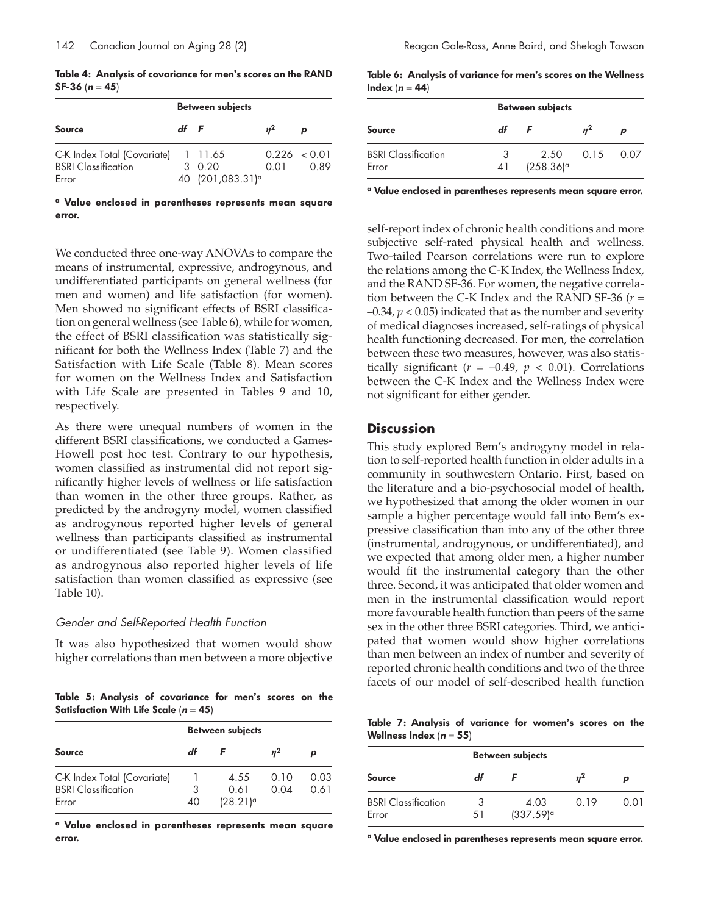**Table 4: Analysis of covariance for men's scores on the RAND**   $SF-36$  ( $n = 45$ )

|                             | <b>Between subjects</b> |                              |      |              |  |  |  |
|-----------------------------|-------------------------|------------------------------|------|--------------|--|--|--|
| Source                      | df F                    |                              |      |              |  |  |  |
| C-K Index Total (Covariate) |                         | 1 11.65                      |      | 0.226 < 0.01 |  |  |  |
| <b>BSRI</b> Classification  |                         | 30.20                        | 0.01 | 0.89         |  |  |  |
| Error                       |                         | 40 (201,083.31) <sup>a</sup> |      |              |  |  |  |

**<sup>a</sup> Value enclosed in parentheses represents mean square error.** 

 We conducted three one-way ANOVAs to compare the means of instrumental, expressive, androgynous, and undifferentiated participants on general wellness (for men and women) and life satisfaction (for women). Men showed no significant effects of BSRI classification on general wellness (see Table 6), while for women, the effect of BSRI classification was statistically significant for both the Wellness Index (Table 7) and the Satisfaction with Life Scale (Table 8). Mean scores for women on the Wellness Index and Satisfaction with Life Scale are presented in Tables 9 and 10, respectively.

 As there were unequal numbers of women in the different BSRI classifications, we conducted a Games-Howell post hoc test. Contrary to our hypothesis, women classified as instrumental did not report significantly higher levels of wellness or life satisfaction than women in the other three groups. Rather, as predicted by the androgyny model, women classified as androgynous reported higher levels of general wellness than participants classified as instrumental or undifferentiated (see Table 9). Women classified as androgynous also reported higher levels of life satisfaction than women classified as expressive (see Table 10).

#### Gender and Self-Reported Health Function

 It was also hypothesized that women would show higher correlations than men between a more objective

 **Table 5: Analysis of covariance for men's scores on the Satisfaction With Life Scale (<sup>n</sup>** = **45)** 

|                                     |         | <b>Between subjects</b>        |       |      |
|-------------------------------------|---------|--------------------------------|-------|------|
| <b>Source</b>                       | df      |                                | $n^2$ |      |
| C-K Index Total (Covariate)         |         | 4.55                           | 0.10  | 0.03 |
| <b>BSRI</b> Classification<br>Error | 3<br>40 | 0.61<br>$(28.21)$ <sup>a</sup> | 0.04  | 0.61 |

**<sup>a</sup> Value enclosed in parentheses represents mean square error.** 

 **Table 6: Analysis of variance for men's scores on the Wellness**   $Index (n = 44)$ 

|                                     |         | <b>Between subjects</b>         |                |      |
|-------------------------------------|---------|---------------------------------|----------------|------|
| <b>Source</b>                       | df      | F                               | n <sup>2</sup> | p    |
| <b>BSRI</b> Classification<br>Error | 3<br>41 | 2.50<br>$(258.36)$ <sup>a</sup> | 0.15           | 0.07 |

**<sup>a</sup> Value enclosed in parentheses represents mean square error.** 

self-report index of chronic health conditions and more subjective self-rated physical health and wellness. Two-tailed Pearson correlations were run to explore the relations among the C-K Index, the Wellness Index, and the RAND SF-36. For women, the negative correlation between the C-K Index and the RAND SF-36  $(r =$ –0.34, *p* < 0.05) indicated that as the number and severity of medical diagnoses increased, self-ratings of physical health functioning decreased. For men, the correlation between these two measures, however, was also statistically significant ( $r = -0.49$ ,  $p < 0.01$ ). Correlations between the C-K Index and the Wellness Index were not significant for either gender.

#### **Discussion**

 This study explored Bem's androgyny model in relation to self-reported health function in older adults in a community in southwestern Ontario. First, based on the literature and a bio-psychosocial model of health, we hypothesized that among the older women in our sample a higher percentage would fall into Bem's expressive classification than into any of the other three (instrumental, androgynous, or undifferentiated), and we expected that among older men, a higher number would fit the instrumental category than the other three. Second, it was anticipated that older women and men in the instrumental classification would report more favourable health function than peers of the same sex in the other three BSRI categories. Third, we anticipated that women would show higher correlations than men between an index of number and severity of reported chronic health conditions and two of the three facets of our model of self-described health function

 **Table 7: Analysis of variance for women's scores on the**  Wellness Index  $(n = 55)$ 

|                                     |          | Between subjects  |       |      |
|-------------------------------------|----------|-------------------|-------|------|
| Source                              | df       |                   | $n^2$ | p    |
| <b>BSRI</b> Classification<br>Error | 3<br>.51 | 4.03<br>(337.59)° | 0.19  | 0.01 |

**a Value enclosed in parentheses represents mean square error.**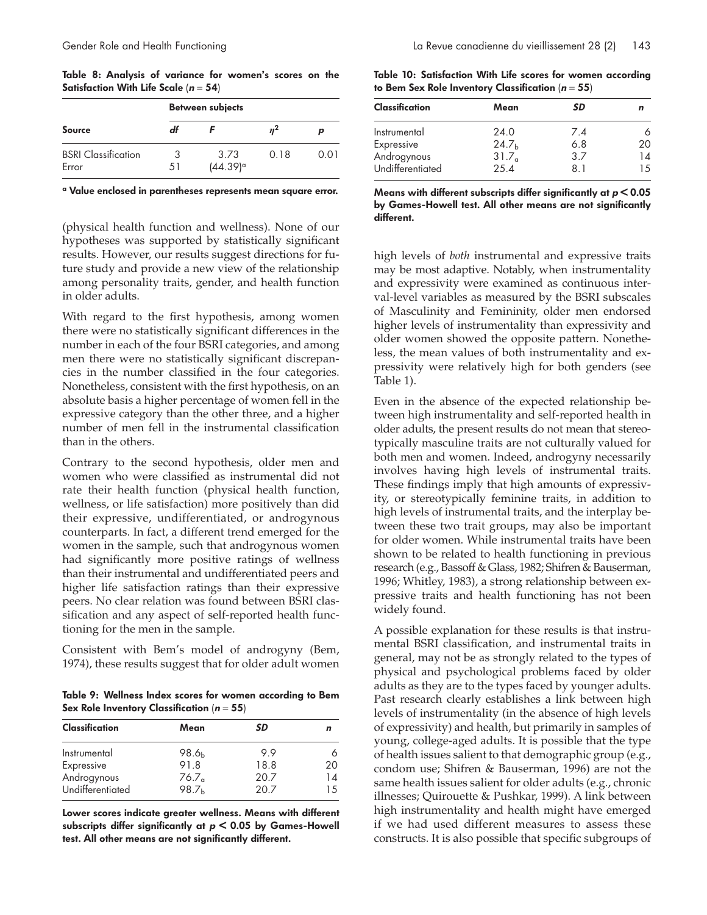**Table 8: Analysis of variance for women's scores on the Satisfaction With Life Scale (<sup>n</sup>** = **54)** 

|                                     | <b>Between subjects</b> |                  |                |      |  |  |
|-------------------------------------|-------------------------|------------------|----------------|------|--|--|
| <b>Source</b>                       | df                      |                  | n <sup>2</sup> | p    |  |  |
| <b>BSRI</b> Classification<br>Error | 3<br>.51                | 3.73<br>(44.39)° | 0.18           | 0.01 |  |  |

**<sup>a</sup> Value enclosed in parentheses represents mean square error.** 

(physical health function and wellness). None of our hypotheses was supported by statistically significant results. However, our results suggest directions for future study and provide a new view of the relationship among personality traits, gender, and health function in older adults.

With regard to the first hypothesis, among women there were no statistically significant differences in the number in each of the four BSRI categories, and among men there were no statistically significant discrepancies in the number classified in the four categories. Nonetheless, consistent with the first hypothesis, on an absolute basis a higher percentage of women fell in the expressive category than the other three, and a higher number of men fell in the instrumental classification than in the others.

 Contrary to the second hypothesis, older men and women who were classified as instrumental did not rate their health function (physical health function, wellness, or life satisfaction) more positively than did their expressive, undifferentiated, or androgynous counterparts. In fact, a different trend emerged for the women in the sample, such that androgynous women had significantly more positive ratings of wellness than their instrumental and undifferentiated peers and higher life satisfaction ratings than their expressive peers. No clear relation was found between BSRI classification and any aspect of self-reported health functioning for the men in the sample.

 Consistent with Bem's model of androgyny (Bem, 1974), these results suggest that for older adult women

 **Table 9: Wellness Index scores for women according to Bem**  Sex Role Inventory Classification  $(n = 55)$ 

| <b>Classification</b> | Mean              | SD   | n  |
|-----------------------|-------------------|------|----|
| Instrumental          | 98.6h             | 9.9  |    |
| Expressive            | 91.8              | 18.8 | 20 |
| Androgynous           | 76.7 <sub>a</sub> | 20.7 | 14 |
| Undifferentiated      | 98.7 <sub>h</sub> | 20.7 | 15 |

 **Lower scores indicate greater wellness. Means with different**  subscripts differ significantly at  $p < 0.05$  by Games-Howell test. All other means are not significantly different.

 **Table 10: Satisfaction With Life scores for women according to Bem Sex Role Inventory Classification (** $n = 55$ **)** 

| Classification   | Mean              | SD  | n  |
|------------------|-------------------|-----|----|
| Instrumental     | 24.0              | 7.4 |    |
| Expressive       | 24.7 <sub>h</sub> | 6.8 | 20 |
| Androgynous      | 31.7 <sub>a</sub> | 3.7 | 14 |
| Undifferentiated | 25.4              | 81  | 15 |

 **Means with different subscripts differ signifi cantly at p < 0.05**  by Games-Howell test. All other means are not significantly **different.** 

high levels of *both* instrumental and expressive traits may be most adaptive. Notably, when instrumentality and expressivity were examined as continuous interval-level variables as measured by the BSRI subscales of Masculinity and Femininity, older men endorsed higher levels of instrumentality than expressivity and older women showed the opposite pattern. Nonetheless, the mean values of both instrumentality and expressivity were relatively high for both genders (see Table 1).

 Even in the absence of the expected relationship between high instrumentality and self-reported health in older adults, the present results do not mean that stereotypically masculine traits are not culturally valued for both men and women. Indeed, androgyny necessarily involves having high levels of instrumental traits. These findings imply that high amounts of expressivity, or stereotypically feminine traits, in addition to high levels of instrumental traits, and the interplay between these two trait groups, may also be important for older women. While instrumental traits have been shown to be related to health functioning in previous research (e.g., Bassoff & Glass, 1982; Shifren & Bauserman, 1996; Whitley, 1983), a strong relationship between expressive traits and health functioning has not been widely found.

 A possible explanation for these results is that instrumental BSRI classification, and instrumental traits in general, may not be as strongly related to the types of physical and psychological problems faced by older adults as they are to the types faced by younger adults. Past research clearly establishes a link between high levels of instrumentality (in the absence of high levels of expressivity) and health, but primarily in samples of young, college-aged adults. It is possible that the type of health issues salient to that demographic group (e.g., condom use; Shifren & Bauserman, 1996) are not the same health issues salient for older adults (e.g., chronic illnesses; Quirouette & Pushkar, 1999 ). A link between high instrumentality and health might have emerged if we had used different measures to assess these constructs. It is also possible that specific subgroups of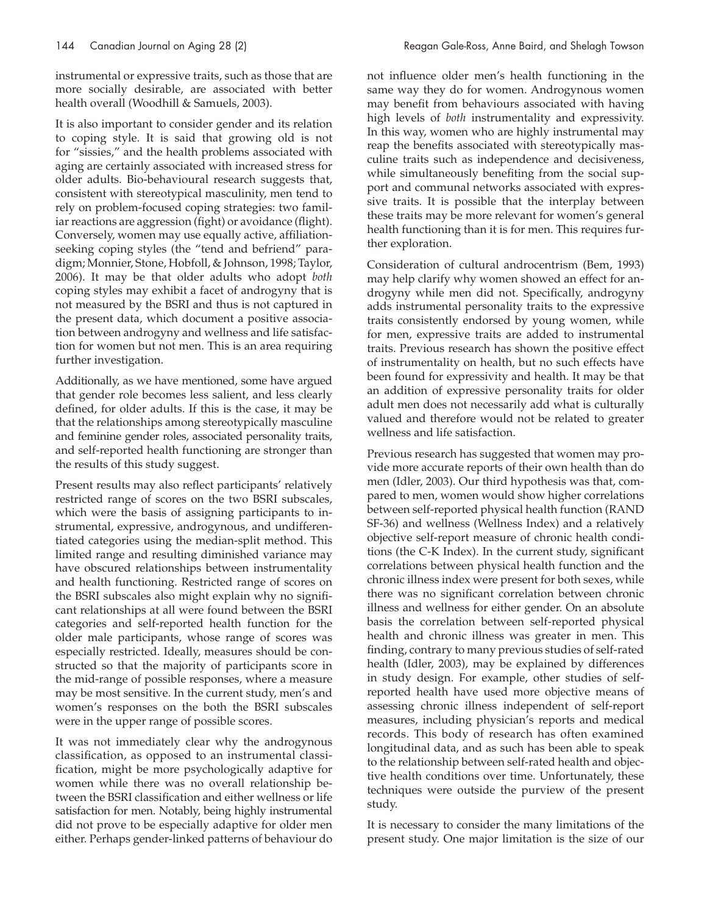instrumental or expressive traits, such as those that are more socially desirable, are associated with better health overall (Woodhill & Samuels, 2003).

 It is also important to consider gender and its relation to coping style. It is said that growing old is not for "sissies," and the health problems associated with aging are certainly associated with increased stress for older adults. Bio-behavioural research suggests that, consistent with stereotypical masculinity, men tend to rely on problem-focused coping strategies: two familiar reactions are aggression (fight) or avoidance (flight). Conversely, women may use equally active, affiliationseeking coping styles (the "tend and befriend" paradigm; Monnier, Stone, Hobfoll, & Johnson, 1998; Taylor, 2006). It may be that older adults who adopt *both*  coping styles may exhibit a facet of androgyny that is not measured by the BSRI and thus is not captured in the present data, which document a positive association between androgyny and wellness and life satisfaction for women but not men. This is an area requiring further investigation.

 Additionally, as we have mentioned, some have argued that gender role becomes less salient, and less clearly defined, for older adults. If this is the case, it may be that the relationships among stereotypically masculine and feminine gender roles, associated personality traits, and self-reported health functioning are stronger than the results of this study suggest.

Present results may also reflect participants' relatively restricted range of scores on the two BSRI subscales, which were the basis of assigning participants to instrumental, expressive, androgynous, and undifferentiated categories using the median-split method. This limited range and resulting diminished variance may have obscured relationships between instrumentality and health functioning. Restricted range of scores on the BSRI subscales also might explain why no significant relationships at all were found between the BSRI categories and self-reported health function for the older male participants, whose range of scores was especially restricted. Ideally, measures should be constructed so that the majority of participants score in the mid-range of possible responses, where a measure may be most sensitive. In the current study, men's and women's responses on the both the BSRI subscales were in the upper range of possible scores.

 It was not immediately clear why the androgynous classification, as opposed to an instrumental classification, might be more psychologically adaptive for women while there was no overall relationship between the BSRI classification and either wellness or life satisfaction for men. Notably, being highly instrumental did not prove to be especially adaptive for older men either. Perhaps gender-linked patterns of behaviour do not influence older men's health functioning in the same way they do for women. Androgynous women may benefit from behaviours associated with having high levels of *both* instrumentality and expressivity. In this way, women who are highly instrumental may reap the benefits associated with stereotypically masculine traits such as independence and decisiveness, while simultaneously benefiting from the social support and communal networks associated with expressive traits. It is possible that the interplay between these traits may be more relevant for women's general health functioning than it is for men. This requires further exploration.

Consideration of cultural androcentrism (Bem, 1993) may help clarify why women showed an effect for androgyny while men did not. Specifically, androgyny adds instrumental personality traits to the expressive traits consistently endorsed by young women, while for men, expressive traits are added to instrumental traits. Previous research has shown the positive effect of instrumentality on health, but no such effects have been found for expressivity and health. It may be that an addition of expressive personality traits for older adult men does not necessarily add what is culturally valued and therefore would not be related to greater wellness and life satisfaction.

 Previous research has suggested that women may provide more accurate reports of their own health than do men (Idler, 2003). Our third hypothesis was that, compared to men, women would show higher correlations between self-reported physical health function (RAND SF-36) and wellness (Wellness Index) and a relatively objective self-report measure of chronic health conditions (the C-K Index). In the current study, significant correlations between physical health function and the chronic illness index were present for both sexes, while there was no significant correlation between chronic illness and wellness for either gender. On an absolute basis the correlation between self-reported physical health and chronic illness was greater in men. This finding, contrary to many previous studies of self-rated health (Idler, 2003), may be explained by differences in study design. For example, other studies of selfreported health have used more objective means of assessing chronic illness independent of self-report measures, including physician's reports and medical records. This body of research has often examined longitudinal data, and as such has been able to speak to the relationship between self-rated health and objective health conditions over time. Unfortunately, these techniques were outside the purview of the present study.

 It is necessary to consider the many limitations of the present study. One major limitation is the size of our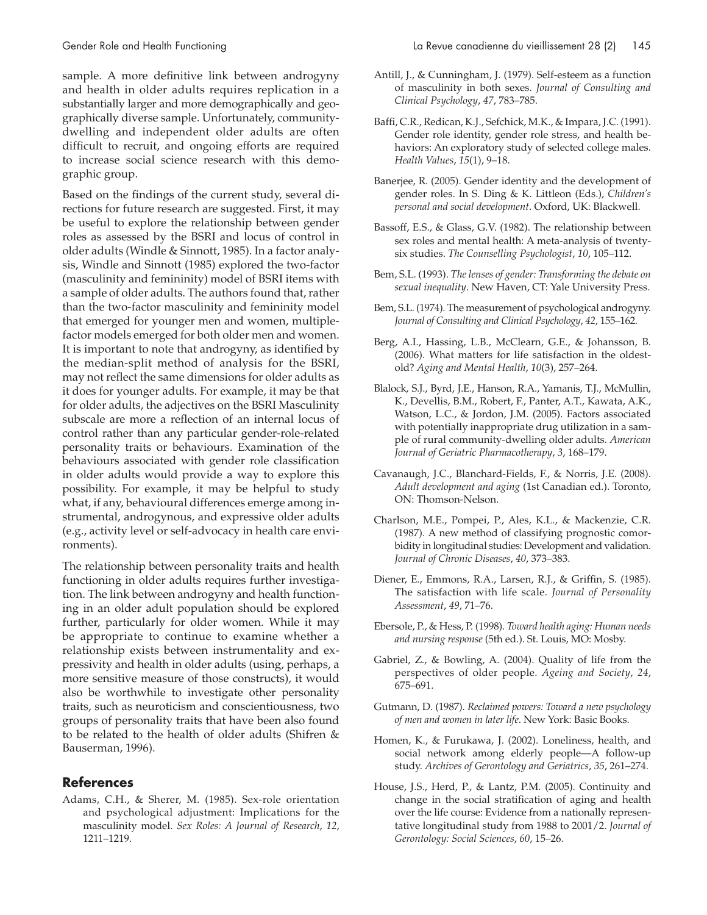sample. A more definitive link between androgyny and health in older adults requires replication in a substantially larger and more demographically and geographically diverse sample. Unfortunately, communitydwelling and independent older adults are often difficult to recruit, and ongoing efforts are required to increase social science research with this demographic group.

Based on the findings of the current study, several directions for future research are suggested. First, it may be useful to explore the relationship between gender roles as assessed by the BSRI and locus of control in older adults (Windle & Sinnott, 1985). In a factor analysis, Windle and Sinnott (1985) explored the two-factor (masculinity and femininity ) model of BSRI items with a sample of older adults. The authors found that, rather than the two-factor masculinity and femininity model that emerged for younger men and women, multiplefactor models emerged for both older men and women. It is important to note that androgyny, as identified by the median-split method of analysis for the BSRI, may not reflect the same dimensions for older adults as it does for younger adults. For example, it may be that for older adults, the adjectives on the BSRI Masculinity subscale are more a reflection of an internal locus of control rather than any particular gender-role-related personality traits or behaviours. Examination of the behaviours associated with gender role classification in older adults would provide a way to explore this possibility. For example, it may be helpful to study what, if any, behavioural differences emerge among instrumental, androgynous, and expressive older adults (e.g., activity level or self-advocacy in health care environments).

 The relationship between personality traits and health functioning in older adults requires further investigation. The link between androgyny and health functioning in an older adult population should be explored further, particularly for older women. While it may be appropriate to continue to examine whether a relationship exists between instrumentality and expressivity and health in older adults (using, perhaps, a more sensitive measure of those constructs), it would also be worthwhile to investigate other personality traits, such as neuroticism and conscientiousness, two groups of personality traits that have been also found to be related to the health of older adults (Shifren & Bauserman, 1996).

#### **References**

Adams, C.H., & Sherer, M. (1985). Sex-role orientation and psychological adjustment: Implications for the masculinity model. *Sex Roles: A Journal of Research*, 12, 1211-1219.

- Antill, J., & Cunningham, J. (1979). Self-esteem as a function of masculinity in both sexes . *Journal of Consulting and Clinical Psychology* , *47* , 783 – 785 .
- Baffi, C.R., Redican, K.J., Sefchick, M.K., & Impara, J.C. (1991). Gender role identity, gender role stress, and health behaviors: An exploratory study of selected college males. *Health Values*, 15(1), 9-18.
- Banerjee, R. (2005). Gender identity and the development of gender roles . In S. Ding & K. Littleon (Eds.), *Children's personal and social development*. Oxford, UK: Blackwell.
- Bassoff, E.S., & Glass, G.V. (1982). The relationship between sex roles and mental health: A meta-analysis of twentysix studies. The Counselling Psychologist, 10, 105-112.
- Bem, S.L. (1993). *The lenses of gender: Transforming the debate on* sexual inequality. New Haven, CT: Yale University Press.
- Bem, S.L. (1974). The measurement of psychological androgyny. Journal of Consulting and Clinical Psychology, 42, 155-162.
- Berg, A.I., Hassing, L.B., McClearn, G.E., & Johansson, B. (2006). What matters for life satisfaction in the oldestold? Aging and Mental Health, 10(3), 257-264.
- Blalock, S.J., Byrd, J.E., Hanson, R.A., Yamanis, T.J., McMullin, K., Devellis, B.M., Robert, F., Panter, A.T., Kawata, A.K., Watson, L.C., & Jordon, J.M. (2005). Factors associated with potentially inappropriate drug utilization in a sample of rural community-dwelling older adults . *American*  Journal of Geriatric Pharmacotherapy, 3, 168-179.
- Cavanaugh, J.C., Blanchard-Fields, F., & Norris, J.E. (2008). Adult development and aging (1st Canadian ed.). Toronto, ON: Thomson-Nelson.
- Charlson, M.E., Pompei, P., Ales, K.L., & Mackenzie, C.R. (1987). A new method of classifying prognostic comorbidity in longitudinal studies: Development and validation . *Journal of Chronic Diseases* , *40* , 373 – 383 .
- Diener, E., Emmons, R.A., Larsen, R.J., & Griffin, S. (1985). The satisfaction with life scale . *Journal of Personality Assessment* , *49* , 71 – 76 .
- Ebersole , P. , & Hess , P . ( 1998 ). *Toward health aging: Human needs*  and nursing response (5th ed.). St. Louis, MO: Mosby.
- Gabriel, Z., & Bowling, A. (2004). Quality of life from the perspectives of older people. Ageing and Society, 24, 675-691.
- Gutmann, D. (1987). *Reclaimed powers: Toward a new psychology* of men and women in later life. New York: Basic Books.
- Homen, K., & Furukawa, J. (2002). Loneliness, health, and social network among elderly people—A follow-up study. Archives of Gerontology and Geriatrics, 35, 261-274.
- House, J.S., Herd, P., & Lantz, P.M. (2005). Continuity and change in the social stratification of aging and health over the life course: Evidence from a nationally representative longitudinal study from 1988 to 2001/2 . *Journal of Gerontology: Social Sciences* , *60* , 15 – 26 .